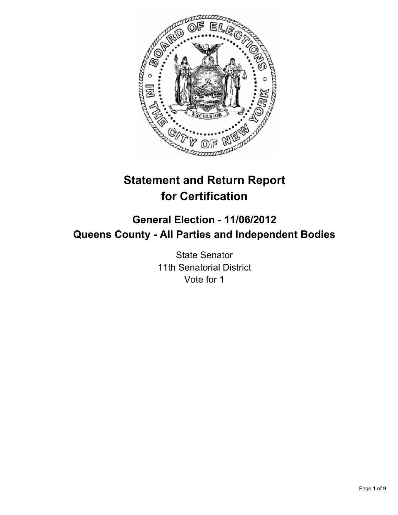

# **Statement and Return Report for Certification**

## **General Election - 11/06/2012 Queens County - All Parties and Independent Bodies**

State Senator 11th Senatorial District Vote for 1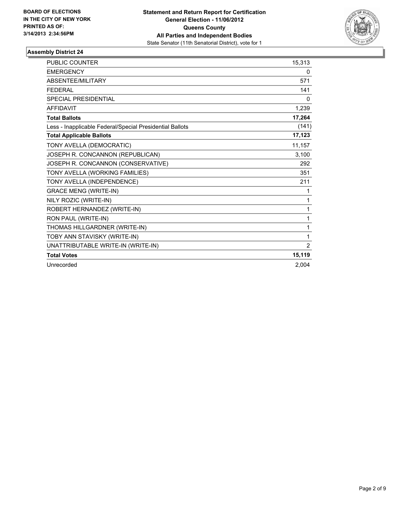

| <b>PUBLIC COUNTER</b>                                    | 15,313         |
|----------------------------------------------------------|----------------|
| <b>EMERGENCY</b>                                         | 0              |
| <b>ABSENTEE/MILITARY</b>                                 | 571            |
| <b>FEDERAL</b>                                           | 141            |
| SPECIAL PRESIDENTIAL                                     | 0              |
| <b>AFFIDAVIT</b>                                         | 1,239          |
| <b>Total Ballots</b>                                     | 17,264         |
| Less - Inapplicable Federal/Special Presidential Ballots | (141)          |
| <b>Total Applicable Ballots</b>                          | 17,123         |
| TONY AVELLA (DEMOCRATIC)                                 | 11,157         |
| JOSEPH R. CONCANNON (REPUBLICAN)                         | 3,100          |
| JOSEPH R. CONCANNON (CONSERVATIVE)                       | 292            |
| TONY AVELLA (WORKING FAMILIES)                           | 351            |
| TONY AVELLA (INDEPENDENCE)                               | 211            |
| <b>GRACE MENG (WRITE-IN)</b>                             | 1              |
| NILY ROZIC (WRITE-IN)                                    | 1              |
| ROBERT HERNANDEZ (WRITE-IN)                              | 1              |
| RON PAUL (WRITE-IN)                                      | 1              |
| THOMAS HILLGARDNER (WRITE-IN)                            | 1              |
| TOBY ANN STAVISKY (WRITE-IN)                             | 1              |
| UNATTRIBUTABLE WRITE-IN (WRITE-IN)                       | $\overline{2}$ |
| <b>Total Votes</b>                                       | 15,119         |
| Unrecorded                                               | 2,004          |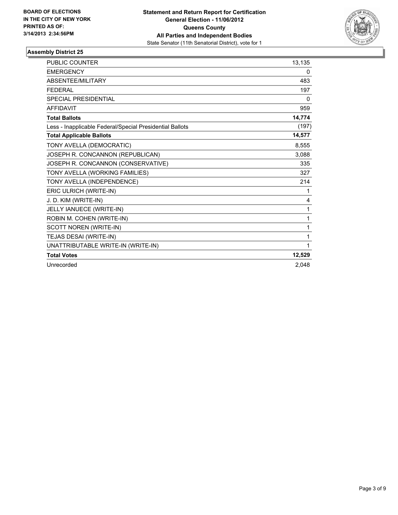

| <b>PUBLIC COUNTER</b>                                    | 13,135 |
|----------------------------------------------------------|--------|
| <b>EMERGENCY</b>                                         | 0      |
| ABSENTEE/MILITARY                                        | 483    |
| <b>FEDERAL</b>                                           | 197    |
| <b>SPECIAL PRESIDENTIAL</b>                              | 0      |
| <b>AFFIDAVIT</b>                                         | 959    |
| <b>Total Ballots</b>                                     | 14,774 |
| Less - Inapplicable Federal/Special Presidential Ballots | (197)  |
| <b>Total Applicable Ballots</b>                          | 14,577 |
| TONY AVELLA (DEMOCRATIC)                                 | 8,555  |
| JOSEPH R. CONCANNON (REPUBLICAN)                         | 3,088  |
| JOSEPH R. CONCANNON (CONSERVATIVE)                       | 335    |
| TONY AVELLA (WORKING FAMILIES)                           | 327    |
| TONY AVELLA (INDEPENDENCE)                               | 214    |
| ERIC ULRICH (WRITE-IN)                                   | 1      |
| J. D. KIM (WRITE-IN)                                     | 4      |
| JELLY IANUECE (WRITE-IN)                                 | 1      |
| ROBIN M. COHEN (WRITE-IN)                                | 1      |
| SCOTT NOREN (WRITE-IN)                                   | 1      |
| TEJAS DESAI (WRITE-IN)                                   | 1      |
| UNATTRIBUTABLE WRITE-IN (WRITE-IN)                       | 1      |
| <b>Total Votes</b>                                       | 12,529 |
| Unrecorded                                               | 2.048  |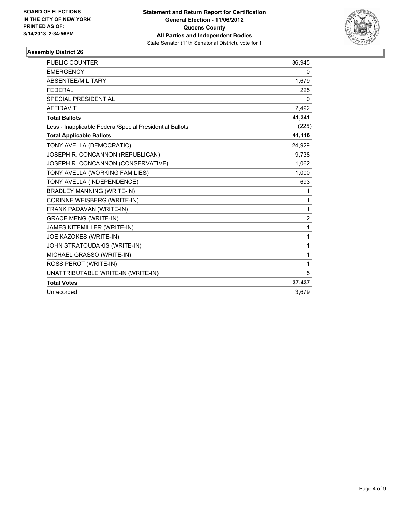

| <b>PUBLIC COUNTER</b>                                    | 36,945         |
|----------------------------------------------------------|----------------|
| <b>EMERGENCY</b>                                         | 0              |
| ABSENTEE/MILITARY                                        | 1,679          |
| <b>FEDERAL</b>                                           | 225            |
| <b>SPECIAL PRESIDENTIAL</b>                              | 0              |
| <b>AFFIDAVIT</b>                                         | 2,492          |
| <b>Total Ballots</b>                                     | 41,341         |
| Less - Inapplicable Federal/Special Presidential Ballots | (225)          |
| <b>Total Applicable Ballots</b>                          | 41,116         |
| TONY AVELLA (DEMOCRATIC)                                 | 24,929         |
| JOSEPH R. CONCANNON (REPUBLICAN)                         | 9,738          |
| JOSEPH R. CONCANNON (CONSERVATIVE)                       | 1,062          |
| TONY AVELLA (WORKING FAMILIES)                           | 1,000          |
| TONY AVELLA (INDEPENDENCE)                               | 693            |
| <b>BRADLEY MANNING (WRITE-IN)</b>                        | 1              |
| CORINNE WEISBERG (WRITE-IN)                              | 1              |
| FRANK PADAVAN (WRITE-IN)                                 | 1              |
| <b>GRACE MENG (WRITE-IN)</b>                             | $\overline{2}$ |
| JAMES KITEMILLER (WRITE-IN)                              | $\mathbf{1}$   |
| JOE KAZOKES (WRITE-IN)                                   | $\mathbf{1}$   |
| JOHN STRATOUDAKIS (WRITE-IN)                             | 1              |
| MICHAEL GRASSO (WRITE-IN)                                | 1              |
| ROSS PEROT (WRITE-IN)                                    | 1              |
| UNATTRIBUTABLE WRITE-IN (WRITE-IN)                       | 5              |
| <b>Total Votes</b>                                       | 37,437         |
| Unrecorded                                               | 3,679          |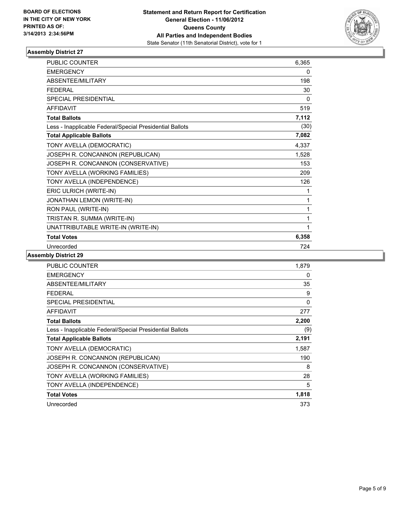

| <b>PUBLIC COUNTER</b>                                    | 6,365 |
|----------------------------------------------------------|-------|
| <b>EMERGENCY</b>                                         | 0     |
| <b>ABSENTEE/MILITARY</b>                                 | 198   |
| <b>FFDFRAL</b>                                           | 30    |
| <b>SPECIAL PRESIDENTIAL</b>                              | 0     |
| <b>AFFIDAVIT</b>                                         | 519   |
| <b>Total Ballots</b>                                     | 7,112 |
| Less - Inapplicable Federal/Special Presidential Ballots | (30)  |
| <b>Total Applicable Ballots</b>                          | 7,082 |
| TONY AVELLA (DEMOCRATIC)                                 | 4,337 |
| JOSEPH R. CONCANNON (REPUBLICAN)                         | 1,528 |
| JOSEPH R. CONCANNON (CONSERVATIVE)                       | 153   |
| TONY AVELLA (WORKING FAMILIES)                           | 209   |
| TONY AVELLA (INDEPENDENCE)                               | 126   |
| ERIC ULRICH (WRITE-IN)                                   | 1     |
| JONATHAN LEMON (WRITE-IN)                                | 1     |
| RON PAUL (WRITE-IN)                                      | 1     |
| TRISTAN R. SUMMA (WRITE-IN)                              | 1     |
| UNATTRIBUTABLE WRITE-IN (WRITE-IN)                       | 1     |
| <b>Total Votes</b>                                       | 6,358 |
| Unrecorded                                               | 724   |

| <b>PUBLIC COUNTER</b>                                    | 1,879 |
|----------------------------------------------------------|-------|
| <b>EMERGENCY</b>                                         | 0     |
| ABSENTEE/MILITARY                                        | 35    |
| <b>FEDERAL</b>                                           | 9     |
| SPECIAL PRESIDENTIAL                                     | 0     |
| <b>AFFIDAVIT</b>                                         | 277   |
| <b>Total Ballots</b>                                     | 2,200 |
| Less - Inapplicable Federal/Special Presidential Ballots | (9)   |
| <b>Total Applicable Ballots</b>                          | 2,191 |
| TONY AVELLA (DEMOCRATIC)                                 | 1,587 |
| JOSEPH R. CONCANNON (REPUBLICAN)                         | 190   |
| JOSEPH R. CONCANNON (CONSERVATIVE)                       | 8     |
| TONY AVELLA (WORKING FAMILIES)                           | 28    |
| TONY AVELLA (INDEPENDENCE)                               | 5     |
| <b>Total Votes</b>                                       | 1,818 |
| Unrecorded                                               | 373   |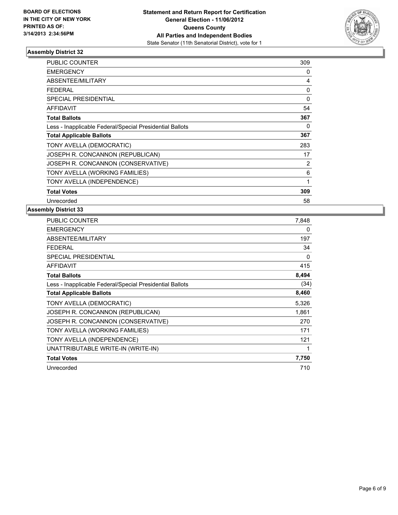

| <b>PUBLIC COUNTER</b>                                    | 309      |
|----------------------------------------------------------|----------|
| <b>EMERGENCY</b>                                         | 0        |
| <b>ABSENTEE/MILITARY</b>                                 | 4        |
| <b>FEDERAL</b>                                           | $\Omega$ |
| SPECIAL PRESIDENTIAL                                     | 0        |
| <b>AFFIDAVIT</b>                                         | 54       |
| <b>Total Ballots</b>                                     | 367      |
| Less - Inapplicable Federal/Special Presidential Ballots | $\Omega$ |
| <b>Total Applicable Ballots</b>                          | 367      |
| TONY AVELLA (DEMOCRATIC)                                 | 283      |
| JOSEPH R. CONCANNON (REPUBLICAN)                         | 17       |
| JOSEPH R. CONCANNON (CONSERVATIVE)                       | 2        |
| TONY AVELLA (WORKING FAMILIES)                           | 6        |
| TONY AVELLA (INDEPENDENCE)                               | 1        |
| <b>Total Votes</b>                                       | 309      |
| Unrecorded                                               | 58       |

| <b>PUBLIC COUNTER</b>                                    | 7,848 |
|----------------------------------------------------------|-------|
| <b>EMERGENCY</b>                                         | 0     |
| ABSENTEE/MILITARY                                        | 197   |
| <b>FEDERAL</b>                                           | 34    |
| SPECIAL PRESIDENTIAL                                     | 0     |
| <b>AFFIDAVIT</b>                                         | 415   |
| <b>Total Ballots</b>                                     | 8,494 |
| Less - Inapplicable Federal/Special Presidential Ballots | (34)  |
| <b>Total Applicable Ballots</b>                          | 8,460 |
| TONY AVELLA (DEMOCRATIC)                                 | 5,326 |
| JOSEPH R. CONCANNON (REPUBLICAN)                         | 1,861 |
| JOSEPH R. CONCANNON (CONSERVATIVE)                       | 270   |
| TONY AVELLA (WORKING FAMILIES)                           | 171   |
| TONY AVELLA (INDEPENDENCE)                               | 121   |
| UNATTRIBUTABLE WRITE-IN (WRITE-IN)                       | 1     |
| <b>Total Votes</b>                                       | 7,750 |
| Unrecorded                                               | 710   |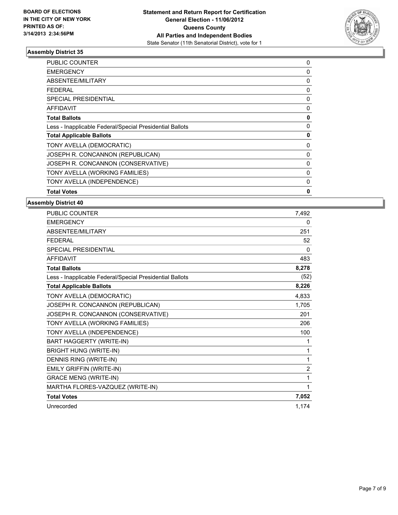

| <b>PUBLIC COUNTER</b>                                    | 0        |
|----------------------------------------------------------|----------|
| <b>EMERGENCY</b>                                         | 0        |
| ABSENTEE/MILITARY                                        | 0        |
| <b>FEDERAL</b>                                           | 0        |
| <b>SPECIAL PRESIDENTIAL</b>                              | 0        |
| AFFIDAVIT                                                | 0        |
| <b>Total Ballots</b>                                     | 0        |
| Less - Inapplicable Federal/Special Presidential Ballots | 0        |
| <b>Total Applicable Ballots</b>                          | 0        |
| TONY AVELLA (DEMOCRATIC)                                 | 0        |
| JOSEPH R. CONCANNON (REPUBLICAN)                         | 0        |
| JOSEPH R. CONCANNON (CONSERVATIVE)                       | $\Omega$ |
| TONY AVELLA (WORKING FAMILIES)                           | 0        |
| TONY AVELLA (INDEPENDENCE)                               | 0        |
| <b>Total Votes</b>                                       | 0        |

| <b>PUBLIC COUNTER</b>                                    | 7.492          |
|----------------------------------------------------------|----------------|
| <b>EMERGENCY</b>                                         | $\mathbf{0}$   |
| <b>ABSENTEE/MILITARY</b>                                 | 251            |
| <b>FEDERAL</b>                                           | 52             |
| <b>SPECIAL PRESIDENTIAL</b>                              | 0              |
| <b>AFFIDAVIT</b>                                         | 483            |
| <b>Total Ballots</b>                                     | 8,278          |
| Less - Inapplicable Federal/Special Presidential Ballots | (52)           |
| <b>Total Applicable Ballots</b>                          | 8,226          |
| TONY AVELLA (DEMOCRATIC)                                 | 4,833          |
| JOSEPH R. CONCANNON (REPUBLICAN)                         | 1,705          |
| JOSEPH R. CONCANNON (CONSERVATIVE)                       | 201            |
| TONY AVELLA (WORKING FAMILIES)                           | 206            |
| TONY AVELLA (INDEPENDENCE)                               | 100            |
| BART HAGGERTY (WRITE-IN)                                 | 1              |
| <b>BRIGHT HUNG (WRITE-IN)</b>                            | 1              |
| DENNIS RING (WRITE-IN)                                   | 1              |
| EMILY GRIFFIN (WRITE-IN)                                 | $\overline{2}$ |
| <b>GRACE MENG (WRITE-IN)</b>                             | 1              |
| MARTHA FLORES-VAZQUEZ (WRITE-IN)                         | 1              |
| <b>Total Votes</b>                                       | 7,052          |
| Unrecorded                                               | 1,174          |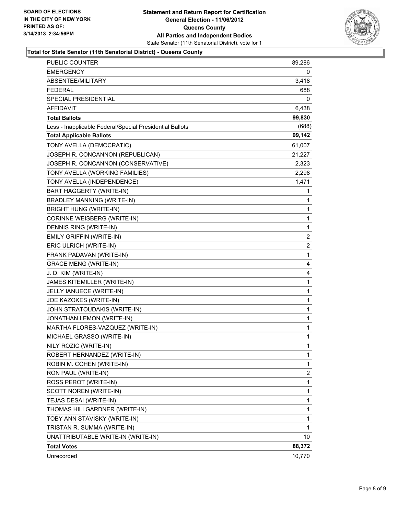

#### **Total for State Senator (11th Senatorial District) - Queens County**

| <b>Total Votes</b>                                       | 88,372       |
|----------------------------------------------------------|--------------|
| UNATTRIBUTABLE WRITE-IN (WRITE-IN)                       | 10           |
| TRISTAN R. SUMMA (WRITE-IN)                              | 1            |
| TOBY ANN STAVISKY (WRITE-IN)                             | 1            |
| THOMAS HILLGARDNER (WRITE-IN)                            | 1            |
| TEJAS DESAI (WRITE-IN)                                   | 1            |
| SCOTT NOREN (WRITE-IN)                                   | 1            |
| ROSS PEROT (WRITE-IN)                                    | 1            |
| RON PAUL (WRITE-IN)                                      | 2            |
| ROBIN M. COHEN (WRITE-IN)                                | 1            |
| ROBERT HERNANDEZ (WRITE-IN)                              | 1            |
| NILY ROZIC (WRITE-IN)                                    | 1            |
| MICHAEL GRASSO (WRITE-IN)                                | 1            |
| MARTHA FLORES-VAZQUEZ (WRITE-IN)                         | 1            |
| JONATHAN LEMON (WRITE-IN)                                | 1            |
| JOHN STRATOUDAKIS (WRITE-IN)                             | $\mathbf{1}$ |
| JOE KAZOKES (WRITE-IN)                                   | 1            |
| JELLY IANUECE (WRITE-IN)                                 | 1            |
| JAMES KITEMILLER (WRITE-IN)                              | $\mathbf{1}$ |
| J. D. KIM (WRITE-IN)                                     | 4            |
| <b>GRACE MENG (WRITE-IN)</b>                             | 4            |
| FRANK PADAVAN (WRITE-IN)                                 | $\mathbf{1}$ |
| ERIC ULRICH (WRITE-IN)                                   | 2            |
| EMILY GRIFFIN (WRITE-IN)                                 | 2            |
| DENNIS RING (WRITE-IN)                                   | 1            |
| CORINNE WEISBERG (WRITE-IN)                              | 1            |
| <b>BRIGHT HUNG (WRITE-IN)</b>                            | 1            |
| BRADLEY MANNING (WRITE-IN)                               | 1            |
| <b>BART HAGGERTY (WRITE-IN)</b>                          | 1            |
| TONY AVELLA (INDEPENDENCE)                               | 1,471        |
| TONY AVELLA (WORKING FAMILIES)                           | 2,298        |
| JOSEPH R. CONCANNON (CONSERVATIVE)                       | 2,323        |
| JOSEPH R. CONCANNON (REPUBLICAN)                         | 21,227       |
| TONY AVELLA (DEMOCRATIC)                                 | 61,007       |
| <b>Total Applicable Ballots</b>                          | 99,142       |
| Less - Inapplicable Federal/Special Presidential Ballots | (688)        |
| <b>Total Ballots</b>                                     | 99,830       |
| <b>AFFIDAVIT</b>                                         | 6,438        |
| <b>SPECIAL PRESIDENTIAL</b>                              | 0            |
| <b>FEDERAL</b>                                           | 688          |
| ABSENTEE/MILITARY                                        | 3,418        |
| <b>EMERGENCY</b>                                         | 0            |
| PUBLIC COUNTER                                           | 89,286       |